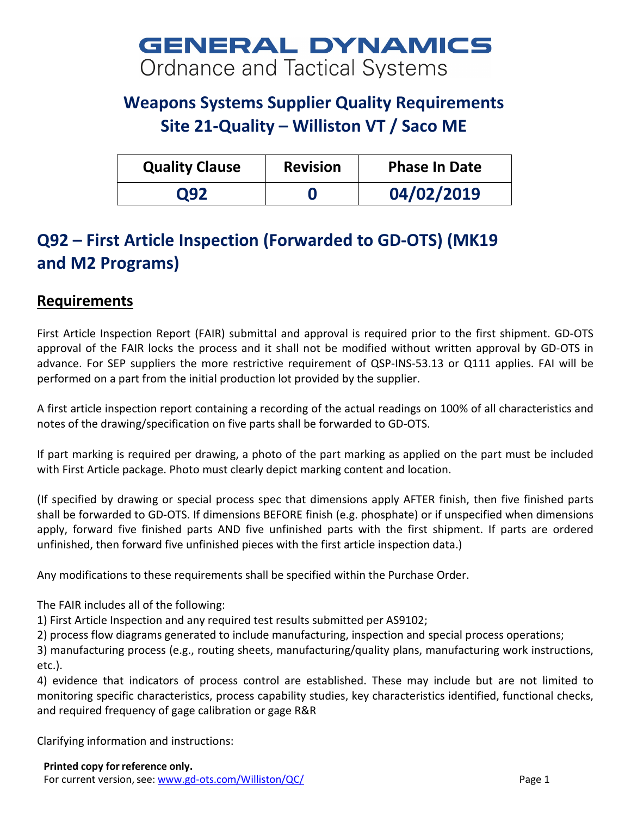# **GENERAL DYNAMICS** Ordnance and Tactical Systems

## **Weapons Systems Supplier Quality Requirements Site 21-Quality – Williston VT / Saco ME**

| <b>Quality Clause</b> | <b>Revision</b> | <b>Phase In Date</b> |
|-----------------------|-----------------|----------------------|
| O92                   |                 | 04/02/2019           |

## **Q92 – First Article Inspection (Forwarded to GD-OTS) (MK19 and M2 Programs)**

#### **Requirements**

First Article Inspection Report (FAIR) submittal and approval is required prior to the first shipment. GD-OTS approval of the FAIR locks the process and it shall not be modified without written approval by GD-OTS in advance. For SEP suppliers the more restrictive requirement of QSP-INS-53.13 or Q111 applies. FAI will be performed on a part from the initial production lot provided by the supplier.

A first article inspection report containing a recording of the actual readings on 100% of all characteristics and notes of the drawing/specification on five parts shall be forwarded to GD-OTS.

If part marking is required per drawing, a photo of the part marking as applied on the part must be included with First Article package. Photo must clearly depict marking content and location.

(If specified by drawing or special process spec that dimensions apply AFTER finish, then five finished parts shall be forwarded to GD-OTS. If dimensions BEFORE finish (e.g. phosphate) or if unspecified when dimensions apply, forward five finished parts AND five unfinished parts with the first shipment. If parts are ordered unfinished, then forward five unfinished pieces with the first article inspection data.)

Any modifications to these requirements shall be specified within the Purchase Order.

The FAIR includes all of the following:

1) First Article Inspection and any required test results submitted per AS9102;

2) process flow diagrams generated to include manufacturing, inspection and special process operations;

3) manufacturing process (e.g., routing sheets, manufacturing/quality plans, manufacturing work instructions, etc.).

4) evidence that indicators of process control are established. These may include but are not limited to monitoring specific characteristics, process capability studies, key characteristics identified, functional checks, and required frequency of gage calibration or gage R&R

Clarifying information and instructions: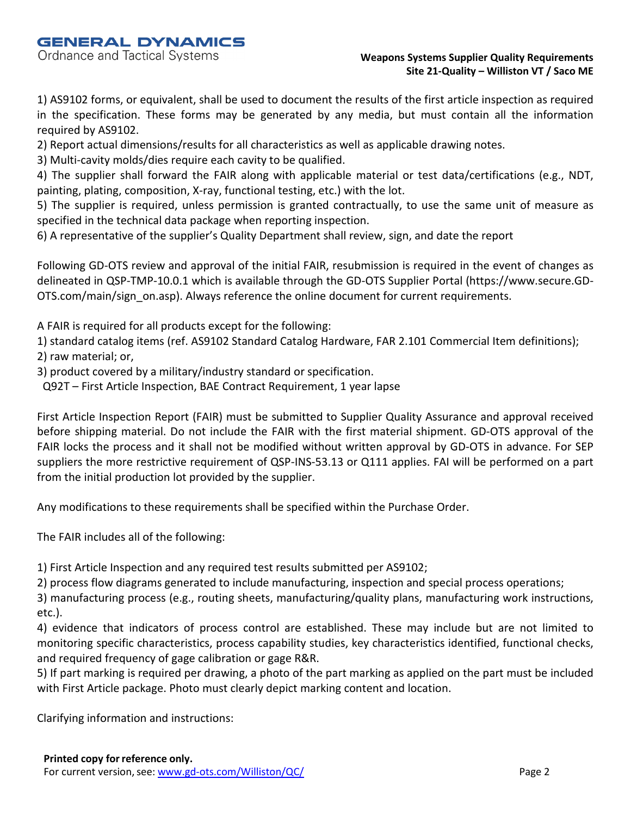**GENERAL DYNAMICS** 

Ordnance and Tactical Systems

#### **Weapons Systems Supplier Quality Requirements Site 21-Quality – Williston VT / Saco ME**

1) AS9102 forms, or equivalent, shall be used to document the results of the first article inspection as required in the specification. These forms may be generated by any media, but must contain all the information required by AS9102.

2) Report actual dimensions/results for all characteristics as well as applicable drawing notes.

3) Multi-cavity molds/dies require each cavity to be qualified.

4) The supplier shall forward the FAIR along with applicable material or test data/certifications (e.g., NDT, painting, plating, composition, X-ray, functional testing, etc.) with the lot.

5) The supplier is required, unless permission is granted contractually, to use the same unit of measure as specified in the technical data package when reporting inspection.

6) A representative of the supplier's Quality Department shall review, sign, and date the report

Following GD-OTS review and approval of the initial FAIR, resubmission is required in the event of changes as delineated in QSP-TMP-10.0.1 which is available through the GD-OTS Supplier Portal (https://www.secure.GD-OTS.com/main/sign\_on.asp). Always reference the online document for current requirements.

A FAIR is required for all products except for the following:

1) standard catalog items (ref. AS9102 Standard Catalog Hardware, FAR 2.101 Commercial Item definitions); 2) raw material; or,

3) product covered by a military/industry standard or specification.

Q92T – First Article Inspection, BAE Contract Requirement, 1 year lapse

First Article Inspection Report (FAIR) must be submitted to Supplier Quality Assurance and approval received before shipping material. Do not include the FAIR with the first material shipment. GD-OTS approval of the FAIR locks the process and it shall not be modified without written approval by GD-OTS in advance. For SEP suppliers the more restrictive requirement of QSP-INS-53.13 or Q111 applies. FAI will be performed on a part from the initial production lot provided by the supplier.

Any modifications to these requirements shall be specified within the Purchase Order.

The FAIR includes all of the following:

1) First Article Inspection and any required test results submitted per AS9102;

2) process flow diagrams generated to include manufacturing, inspection and special process operations;

3) manufacturing process (e.g., routing sheets, manufacturing/quality plans, manufacturing work instructions, etc.).

4) evidence that indicators of process control are established. These may include but are not limited to monitoring specific characteristics, process capability studies, key characteristics identified, functional checks, and required frequency of gage calibration or gage R&R.

5) If part marking is required per drawing, a photo of the part marking as applied on the part must be included with First Article package. Photo must clearly depict marking content and location.

Clarifying information and instructions: